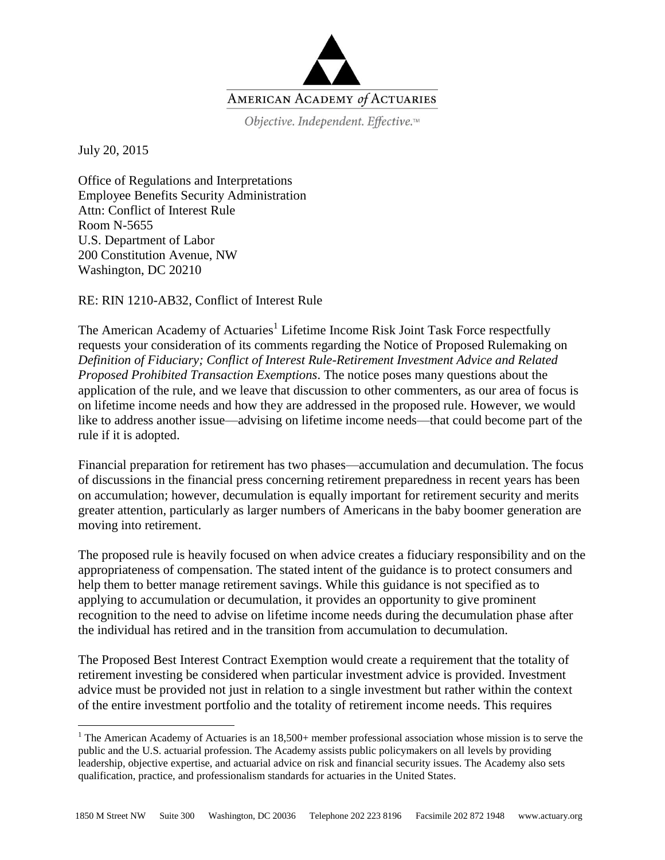

Objective. Independent. Effective.™

July 20, 2015

 $\overline{a}$ 

Office of Regulations and Interpretations Employee Benefits Security Administration Attn: Conflict of Interest Rule Room N-5655 U.S. Department of Labor 200 Constitution Avenue, NW Washington, DC 20210

RE: RIN 1210-AB32, Conflict of Interest Rule

The American Academy of Actuaries<sup>1</sup> Lifetime Income Risk Joint Task Force respectfully requests your consideration of its comments regarding the Notice of Proposed Rulemaking on *Definition of Fiduciary; Conflict of Interest Rule-Retirement Investment Advice and Related Proposed Prohibited Transaction Exemptions*. The notice poses many questions about the application of the rule, and we leave that discussion to other commenters, as our area of focus is on lifetime income needs and how they are addressed in the proposed rule. However, we would like to address another issue—advising on lifetime income needs—that could become part of the rule if it is adopted.

Financial preparation for retirement has two phases—accumulation and decumulation. The focus of discussions in the financial press concerning retirement preparedness in recent years has been on accumulation; however, decumulation is equally important for retirement security and merits greater attention, particularly as larger numbers of Americans in the baby boomer generation are moving into retirement.

The proposed rule is heavily focused on when advice creates a fiduciary responsibility and on the appropriateness of compensation. The stated intent of the guidance is to protect consumers and help them to better manage retirement savings. While this guidance is not specified as to applying to accumulation or decumulation, it provides an opportunity to give prominent recognition to the need to advise on lifetime income needs during the decumulation phase after the individual has retired and in the transition from accumulation to decumulation.

The Proposed Best Interest Contract Exemption would create a requirement that the totality of retirement investing be considered when particular investment advice is provided. Investment advice must be provided not just in relation to a single investment but rather within the context of the entire investment portfolio and the totality of retirement income needs. This requires

<sup>&</sup>lt;sup>1</sup> The American Academy of Actuaries is an  $18,500+$  member professional association whose mission is to serve the public and the U.S. actuarial profession. The Academy assists public policymakers on all levels by providing leadership, objective expertise, and actuarial advice on risk and financial security issues. The Academy also sets qualification, practice, and professionalism standards for actuaries in the United States.